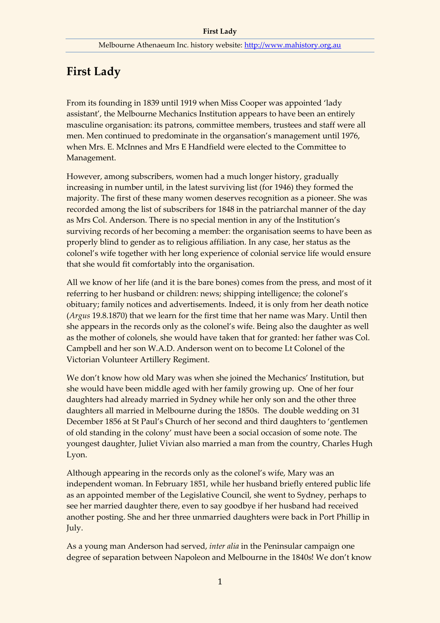## **First Lady**

From its founding in 1839 until 1919 when Miss Cooper was appointed 'lady assistant', the Melbourne Mechanics Institution appears to have been an entirely masculine organisation: its patrons, committee members, trustees and staff were all men. Men continued to predominate in the organsation's management until 1976, when Mrs. E. McInnes and Mrs E Handfield were elected to the Committee to Management.

However, among subscribers, women had a much longer history, gradually increasing in number until, in the latest surviving list (for 1946) they formed the majority. The first of these many women deserves recognition as a pioneer. She was recorded among the list of subscribers for 1848 in the patriarchal manner of the day as Mrs Col. Anderson. There is no special mention in any of the Institution's surviving records of her becoming a member: the organisation seems to have been as properly blind to gender as to religious affiliation. In any case, her status as the colonel's wife together with her long experience of colonial service life would ensure that she would fit comfortably into the organisation.

All we know of her life (and it is the bare bones) comes from the press, and most of it referring to her husband or children: news; shipping intelligence; the colonel's obituary; family notices and advertisements. Indeed, it is only from her death notice (*Argus* 19.8.1870) that we learn for the first time that her name was Mary. Until then she appears in the records only as the colonel's wife. Being also the daughter as well as the mother of colonels, she would have taken that for granted: her father was Col. Campbell and her son W.A.D. Anderson went on to become Lt Colonel of the Victorian Volunteer Artillery Regiment.

We don't know how old Mary was when she joined the Mechanics' Institution, but she would have been middle aged with her family growing up. One of her four daughters had already married in Sydney while her only son and the other three daughters all married in Melbourne during the 1850s. The double wedding on 31 December 1856 at St Paul's Church of her second and third daughters to 'gentlemen of old standing in the colony' must have been a social occasion of some note. The youngest daughter, Juliet Vivian also married a man from the country, Charles Hugh Lyon.

Although appearing in the records only as the colonel's wife, Mary was an independent woman. In February 1851, while her husband briefly entered public life as an appointed member of the Legislative Council, she went to Sydney, perhaps to see her married daughter there, even to say goodbye if her husband had received another posting. She and her three unmarried daughters were back in Port Phillip in July.

As a young man Anderson had served, *inter alia* in the Peninsular campaign one degree of separation between Napoleon and Melbourne in the 1840s! We don't know